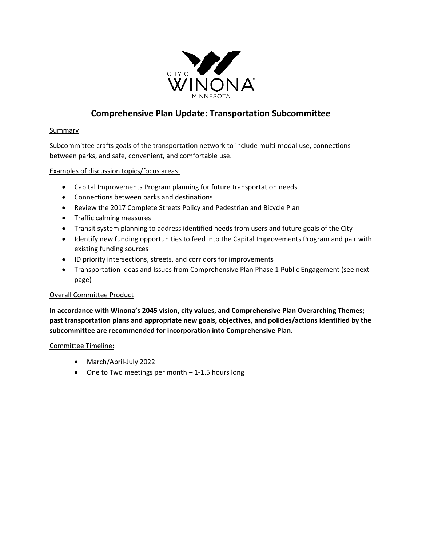

# **Comprehensive Plan Update: Transportation Subcommittee**

#### **Summary**

Subcommittee crafts goals of the transportation network to include multi-modal use, connections between parks, and safe, convenient, and comfortable use.

#### Examples of discussion topics/focus areas:

- Capital Improvements Program planning for future transportation needs
- Connections between parks and destinations
- Review the 2017 Complete Streets Policy and Pedestrian and Bicycle Plan
- Traffic calming measures
- Transit system planning to address identified needs from users and future goals of the City
- Identify new funding opportunities to feed into the Capital Improvements Program and pair with existing funding sources
- ID priority intersections, streets, and corridors for improvements
- Transportation Ideas and Issues from Comprehensive Plan Phase 1 Public Engagement (see next page)

## Overall Committee Product

**In accordance with Winona's 2045 vision, city values, and Comprehensive Plan Overarching Themes; past transportation plans and appropriate new goals, objectives, and policies/actions identified by the subcommittee are recommended for incorporation into Comprehensive Plan.** 

#### Committee Timeline:

- March/April-July 2022
- One to Two meetings per month 1-1.5 hours long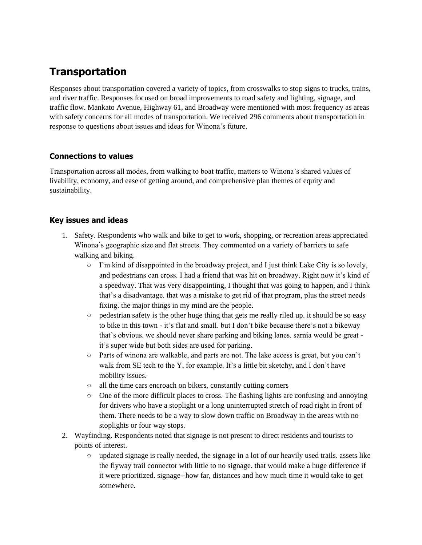# **Transportation**

Responses about transportation covered a variety of topics, from crosswalks to stop signs to trucks, trains, and river traffic. Responses focused on broad improvements to road safety and lighting, signage, and traffic flow. Mankato Avenue, Highway 61, and Broadway were mentioned with most frequency as areas with safety concerns for all modes of transportation. We received 296 comments about transportation in response to questions about issues and ideas for Winona's future.

## **Connections to values**

Transportation across all modes, from walking to boat traffic, matters to Winona's shared values of livability, economy, and ease of getting around, and comprehensive plan themes of equity and sustainability.

#### **Key issues and ideas**

- 1. Safety. Respondents who walk and bike to get to work, shopping, or recreation areas appreciated Winona's geographic size and flat streets. They commented on a variety of barriers to safe walking and biking.
	- $\circ$  I'm kind of disappointed in the broadway project, and I just think Lake City is so lovely, and pedestrians can cross. I had a friend that was hit on broadway. Right now it's kind of a speedway. That was very disappointing, I thought that was going to happen, and I think that's a disadvantage. that was a mistake to get rid of that program, plus the street needs fixing. the major things in my mind are the people.
	- pedestrian safety is the other huge thing that gets me really riled up. it should be so easy to bike in this town - it's flat and small. but I don't bike because there's not a bikeway that's obvious. we should never share parking and biking lanes. sarnia would be great it's super wide but both sides are used for parking.
	- Parts of winona are walkable, and parts are not. The lake access is great, but you can't walk from SE tech to the Y, for example. It's a little bit sketchy, and I don't have mobility issues.
	- all the time cars encroach on bikers, constantly cutting corners
	- One of the more difficult places to cross. The flashing lights are confusing and annoying for drivers who have a stoplight or a long uninterrupted stretch of road right in front of them. There needs to be a way to slow down traffic on Broadway in the areas with no stoplights or four way stops.
- 2. Wayfinding. Respondents noted that signage is not present to direct residents and tourists to points of interest.
	- $\circ$  updated signage is really needed, the signage in a lot of our heavily used trails. assets like the flyway trail connector with little to no signage. that would make a huge difference if it were prioritized. signage--how far, distances and how much time it would take to get somewhere.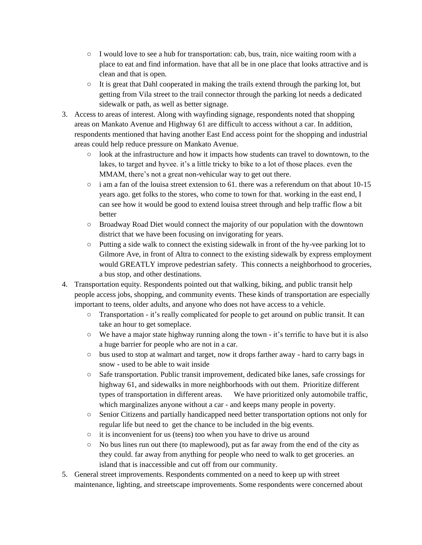- I would love to see a hub for transportation: cab, bus, train, nice waiting room with a place to eat and find information. have that all be in one place that looks attractive and is clean and that is open.
- $\circ$  It is great that Dahl cooperated in making the trails extend through the parking lot, but getting from Vila street to the trail connector through the parking lot needs a dedicated sidewalk or path, as well as better signage.
- 3. Access to areas of interest. Along with wayfinding signage, respondents noted that shopping areas on Mankato Avenue and Highway 61 are difficult to access without a car. In addition, respondents mentioned that having another East End access point for the shopping and industrial areas could help reduce pressure on Mankato Avenue.
	- look at the infrastructure and how it impacts how students can travel to downtown, to the lakes, to target and hyvee. it's a little tricky to bike to a lot of those places. even the MMAM, there's not a great non-vehicular way to get out there.
	- $\circ$  i am a fan of the louisa street extension to 61. there was a referendum on that about 10-15 years ago. get folks to the stores, who come to town for that. working in the east end, I can see how it would be good to extend louisa street through and help traffic flow a bit better
	- Broadway Road Diet would connect the majority of our population with the downtown district that we have been focusing on invigorating for years.
	- Putting a side walk to connect the existing sidewalk in front of the hy-vee parking lot to Gilmore Ave, in front of Altra to connect to the existing sidewalk by express employment would GREATLY improve pedestrian safety. This connects a neighborhood to groceries, a bus stop, and other destinations.
- 4. Transportation equity. Respondents pointed out that walking, biking, and public transit help people access jobs, shopping, and community events. These kinds of transportation are especially important to teens, older adults, and anyone who does not have access to a vehicle.
	- Transportation it's really complicated for people to get around on public transit. It can take an hour to get someplace.
	- $\circ$  We have a major state highway running along the town it's terrific to have but it is also a huge barrier for people who are not in a car.
	- bus used to stop at walmart and target, now it drops farther away hard to carry bags in snow - used to be able to wait inside
	- Safe transportation. Public transit improvement, dedicated bike lanes, safe crossings for highway 61, and sidewalks in more neighborhoods with out them. Prioritize different types of transportation in different areas. We have prioritized only automobile traffic, which marginalizes anyone without a car - and keeps many people in poverty.
	- Senior Citizens and partially handicapped need better transportation options not only for regular life but need to get the chance to be included in the big events.
	- it is inconvenient for us (teens) too when you have to drive us around
	- $\circ$  No bus lines run out there (to maplewood), put as far away from the end of the city as they could. far away from anything for people who need to walk to get groceries. an island that is inaccessible and cut off from our community.
- 5. General street improvements. Respondents commented on a need to keep up with street maintenance, lighting, and streetscape improvements. Some respondents were concerned about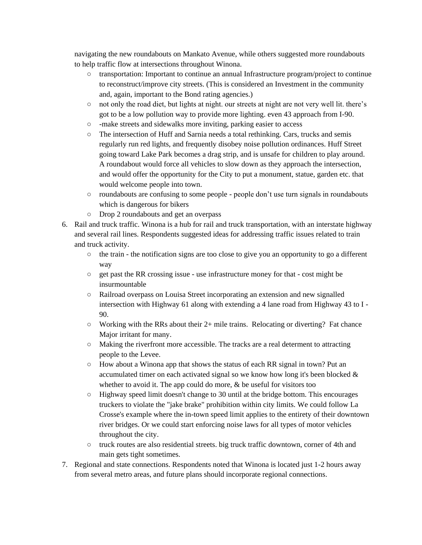navigating the new roundabouts on Mankato Avenue, while others suggested more roundabouts to help traffic flow at intersections throughout Winona.

- transportation: Important to continue an annual Infrastructure program/project to continue to reconstruct/improve city streets. (This is considered an Investment in the community and, again, important to the Bond rating agencies.)
- not only the road diet, but lights at night. our streets at night are not very well lit. there's got to be a low pollution way to provide more lighting. even 43 approach from I-90.
- -make streets and sidewalks more inviting, parking easier to access
- The intersection of Huff and Sarnia needs a total rethinking. Cars, trucks and semis regularly run red lights, and frequently disobey noise pollution ordinances. Huff Street going toward Lake Park becomes a drag strip, and is unsafe for children to play around. A roundabout would force all vehicles to slow down as they approach the intersection, and would offer the opportunity for the City to put a monument, statue, garden etc. that would welcome people into town.
- roundabouts are confusing to some people people don't use turn signals in roundabouts which is dangerous for bikers
- Drop 2 roundabouts and get an overpass
- 6. Rail and truck traffic. Winona is a hub for rail and truck transportation, with an interstate highway and several rail lines. Respondents suggested ideas for addressing traffic issues related to train and truck activity.
	- $\circ$  the train the notification signs are too close to give you an opportunity to go a different way
	- $\circ$  get past the RR crossing issue use infrastructure money for that cost might be insurmountable
	- Railroad overpass on Louisa Street incorporating an extension and new signalled intersection with Highway 61 along with extending a 4 lane road from Highway 43 to I - 90.
	- $\circ$  Working with the RRs about their 2+ mile trains. Relocating or diverting? Fat chance Major irritant for many.
	- Making the riverfront more accessible. The tracks are a real determent to attracting people to the Levee.
	- How about a Winona app that shows the status of each RR signal in town? Put an accumulated timer on each activated signal so we know how long it's been blocked & whether to avoid it. The app could do more,  $\&$  be useful for visitors too
	- $\circ$  Highway speed limit doesn't change to 30 until at the bridge bottom. This encourages truckers to violate the "jake brake" prohibition within city limits. We could follow La Crosse's example where the in-town speed limit applies to the entirety of their downtown river bridges. Or we could start enforcing noise laws for all types of motor vehicles throughout the city.
	- truck routes are also residential streets. big truck traffic downtown, corner of 4th and main gets tight sometimes.
- 7. Regional and state connections. Respondents noted that Winona is located just 1-2 hours away from several metro areas, and future plans should incorporate regional connections.